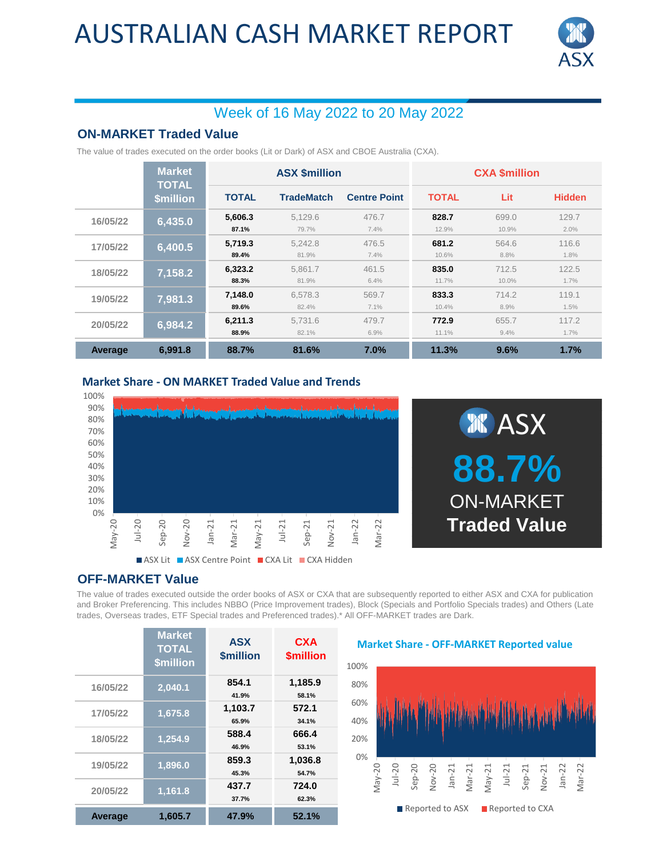## AUSTRALIAN CASH MARKET REPORT



## Week of 16 May 2022 to 20 May 2022

### **ON-MARKET Traded Value**

The value of trades executed on the order books (Lit or Dark) of ASX and CBOE Australia (CXA).

|          | <b>Market</b><br><b>TOTAL</b><br><b>\$million</b> | <b>ASX \$million</b> |                   |                     | <b>CXA \$million</b> |                |               |
|----------|---------------------------------------------------|----------------------|-------------------|---------------------|----------------------|----------------|---------------|
|          |                                                   | <b>TOTAL</b>         | <b>TradeMatch</b> | <b>Centre Point</b> | <b>TOTAL</b>         | Lit            | <b>Hidden</b> |
| 16/05/22 | 6,435.0                                           | 5,606.3<br>87.1%     | 5.129.6<br>79.7%  | 476.7<br>7.4%       | 828.7<br>12.9%       | 699.0<br>10.9% | 129.7<br>2.0% |
| 17/05/22 | 6,400.5                                           | 5.719.3<br>89.4%     | 5.242.8<br>81.9%  | 476.5<br>7.4%       | 681.2<br>10.6%       | 564.6<br>8.8%  | 116.6<br>1.8% |
| 18/05/22 | 7,158.2                                           | 6.323.2<br>88.3%     | 5.861.7<br>81.9%  | 461.5<br>6.4%       | 835.0<br>11.7%       | 712.5<br>10.0% | 122.5<br>1.7% |
| 19/05/22 | 7,981.3                                           | 7.148.0<br>89.6%     | 6.578.3<br>82.4%  | 569.7<br>7.1%       | 833.3<br>10.4%       | 714.2<br>8.9%  | 119.1<br>1.5% |
| 20/05/22 | 6,984.2                                           | 6,211.3<br>88.9%     | 5,731.6<br>82.1%  | 479.7<br>6.9%       | 772.9<br>11.1%       | 655.7<br>9.4%  | 117.2<br>1.7% |
| Average  | 6.991.8                                           | 88.7%                | 81.6%             | 7.0%                | 11.3%                | 9.6%           | 1.7%          |

#### **Market Share - ON MARKET Traded Value and Trends**





### **OFF-MARKET Value**

The value of trades executed outside the order books of ASX or CXA that are subsequently reported to either ASX and CXA for publication and Broker Preferencing. This includes NBBO (Price Improvement trades), Block (Specials and Portfolio Specials trades) and Others (Late trades, Overseas trades, ETF Special trades and Preferenced trades).\* All OFF-MARKET trades are Dark.

|                | <b>Market</b><br><b>TOTAL</b><br><b>\$million</b> | <b>ASX</b><br><b><i><u>Smillion</u></i></b> | <b>CXA</b><br><b><i><u>Smillion</u></i></b> |
|----------------|---------------------------------------------------|---------------------------------------------|---------------------------------------------|
| 16/05/22       | 2,040.1                                           | 854.1<br>41.9%                              | 1,185.9<br>58.1%                            |
| 17/05/22       | 1,675.8                                           | 1,103.7<br>65.9%                            | 572.1<br>34.1%                              |
| 18/05/22       | 1,254.9                                           | 588.4<br>46.9%                              | 666.4<br>53.1%                              |
| 19/05/22       | 1,896.0                                           | 859.3<br>45.3%                              | 1,036.8<br>54.7%                            |
| 20/05/22       | 1,161.8                                           | 437.7<br>37.7%                              | 724.0<br>62.3%                              |
| <b>Average</b> | 1,605.7                                           | 47.9%                                       | 52.1%                                       |

#### **Market Share - OFF-MARKET Reported value**